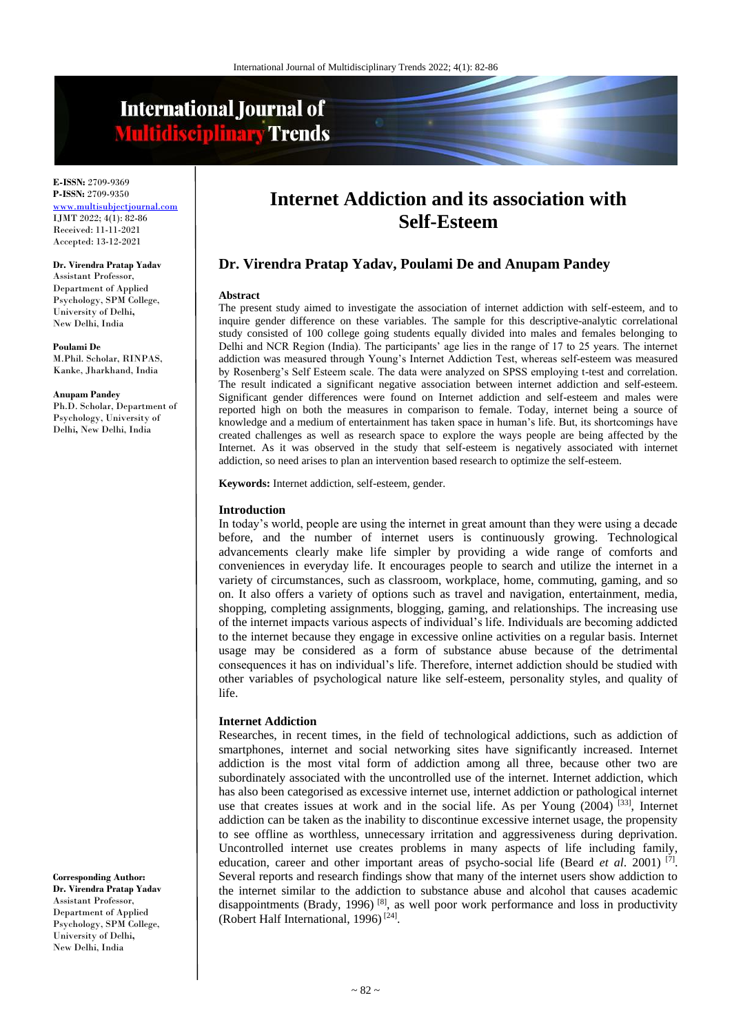# **International Journal of Multidisciplinary Trends**

**E-ISSN:** 2709-9369 **P-ISSN:** 2709-9350 <www.multisubjectjournal.com> IJMT 2022; 4(1): 82-86 Received: 11-11-2021 Accepted: 13-12-2021

#### **Dr. Virendra Pratap Yadav**

Assistant Professor, Department of Applied Psychology, SPM College, University of Delhi**,**  New Delhi, India

**Poulami De** M.Phil. Scholar, RINPAS, Kanke, Jharkhand, India

#### **Anupam Pandey**

Ph.D. Scholar, Department of Psychology, University of Delhi**,** New Delhi, India

**Corresponding Author: Dr. Virendra Pratap Yadav** Assistant Professor, Department of Applied Psychology, SPM College, University of Delhi**,**  New Delhi, India

## **Internet Addiction and its association with Self-Esteem**

## **Dr. Virendra Pratap Yadav, Poulami De and Anupam Pandey**

#### **Abstract**

The present study aimed to investigate the association of internet addiction with self-esteem, and to inquire gender difference on these variables. The sample for this descriptive-analytic correlational study consisted of 100 college going students equally divided into males and females belonging to Delhi and NCR Region (India). The participants' age lies in the range of 17 to 25 years. The internet addiction was measured through Young's Internet Addiction Test, whereas self-esteem was measured by Rosenberg's Self Esteem scale. The data were analyzed on SPSS employing t-test and correlation. The result indicated a significant negative association between internet addiction and self-esteem. Significant gender differences were found on Internet addiction and self-esteem and males were reported high on both the measures in comparison to female. Today, internet being a source of knowledge and a medium of entertainment has taken space in human's life. But, its shortcomings have created challenges as well as research space to explore the ways people are being affected by the Internet. As it was observed in the study that self-esteem is negatively associated with internet addiction, so need arises to plan an intervention based research to optimize the self-esteem.

**Keywords:** Internet addiction, self-esteem, gender.

#### **Introduction**

In today's world, people are using the internet in great amount than they were using a decade before, and the number of internet users is continuously growing. Technological advancements clearly make life simpler by providing a wide range of comforts and conveniences in everyday life. It encourages people to search and utilize the internet in a variety of circumstances, such as classroom, workplace, home, commuting, gaming, and so on. It also offers a variety of options such as travel and navigation, entertainment, media, shopping, completing assignments, blogging, gaming, and relationships. The increasing use of the internet impacts various aspects of individual's life. Individuals are becoming addicted to the internet because they engage in excessive online activities on a regular basis. Internet usage may be considered as a form of substance abuse because of the detrimental consequences it has on individual's life. Therefore, internet addiction should be studied with other variables of psychological nature like self-esteem, personality styles, and quality of life.

#### **Internet Addiction**

Researches, in recent times, in the field of technological addictions, such as addiction of smartphones, internet and social networking sites have significantly increased. Internet addiction is the most vital form of addiction among all three, because other two are subordinately associated with the uncontrolled use of the internet. Internet addiction, which has also been categorised as excessive internet use, internet addiction or pathological internet use that creates issues at work and in the social life. As per Young (2004) <sup>[33]</sup>, Internet addiction can be taken as the inability to discontinue excessive internet usage, the propensity to see offline as worthless, unnecessary irritation and aggressiveness during deprivation. Uncontrolled internet use creates problems in many aspects of life including family, education, career and other important areas of psycho-social life (Beard *et al.* 2001)<sup>[7]</sup>. Several reports and research findings show that many of the internet users show addiction to the internet similar to the addiction to substance abuse and alcohol that causes academic disappointments (Brady, 1996)<sup>[8]</sup>, as well poor work performance and loss in productivity (Robert Half International, 1996)<sup>[24]</sup>.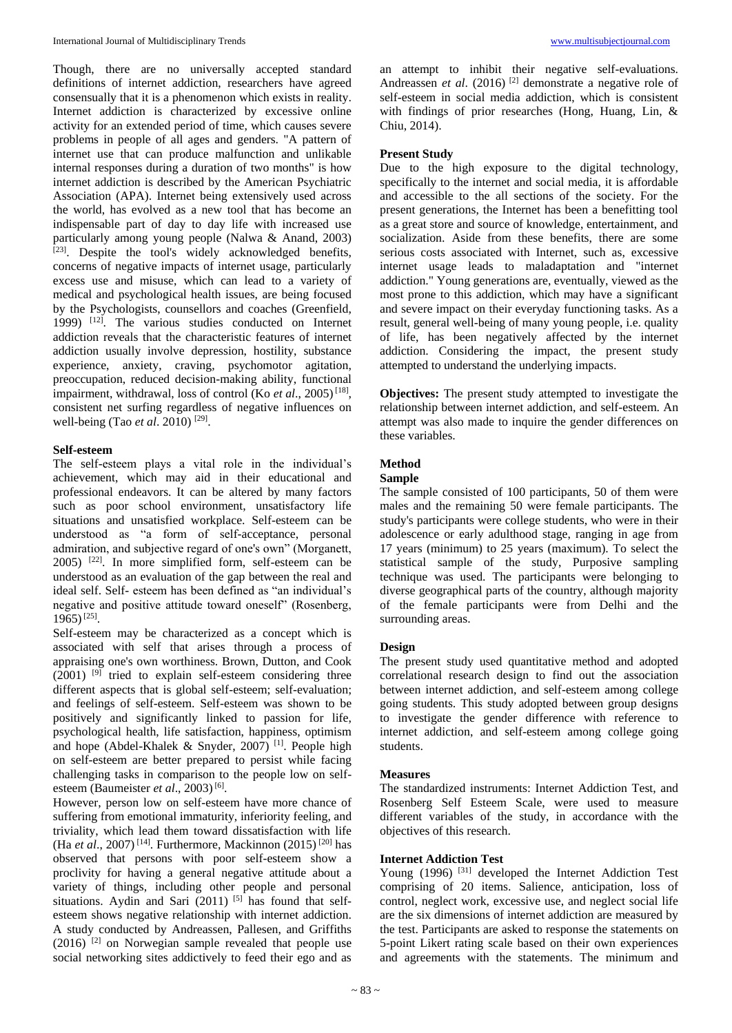Though, there are no universally accepted standard definitions of internet addiction, researchers have agreed consensually that it is a phenomenon which exists in reality. Internet addiction is characterized by excessive online activity for an extended period of time, which causes severe problems in people of all ages and genders. "A pattern of internet use that can produce malfunction and unlikable internal responses during a duration of two months" is how internet addiction is described by the American Psychiatric Association (APA). Internet being extensively used across the world, has evolved as a new tool that has become an indispensable part of day to day life with increased use particularly among young people (Nalwa & Anand, 2003) [23]. Despite the tool's widely acknowledged benefits, concerns of negative impacts of internet usage, particularly excess use and misuse, which can lead to a variety of medical and psychological health issues, are being focused by the Psychologists, counsellors and coaches (Greenfield, 1999)  $[12]$ . The various studies conducted on Internet addiction reveals that the characteristic features of internet addiction usually involve depression, hostility, substance experience, anxiety, craving, psychomotor agitation, preoccupation, reduced decision-making ability, functional impairment, withdrawal, loss of control (Ko *et al.*, 2005)<sup>[18]</sup>, consistent net surfing regardless of negative influences on well-being (Tao *et al.* 2010)<sup>[29]</sup>.

## **Self-esteem**

The self-esteem plays a vital role in the individual's achievement, which may aid in their educational and professional endeavors. It can be altered by many factors such as poor school environment, unsatisfactory life situations and unsatisfied workplace. Self-esteem can be understood as "a form of self-acceptance, personal admiration, and subjective regard of one's own" (Morganett,  $2005$ )<sup>[22]</sup>. In more simplified form, self-esteem can be understood as an evaluation of the gap between the real and ideal self. Self- esteem has been defined as "an individual's negative and positive attitude toward oneself" (Rosenberg, 1965)<sup>[25]</sup>.

Self-esteem may be characterized as a concept which is associated with self that arises through a process of appraising one's own worthiness. Brown, Dutton, and Cook  $(2001)$ <sup>[9]</sup> tried to explain self-esteem considering three different aspects that is global self-esteem; self-evaluation; and feelings of self-esteem. Self-esteem was shown to be positively and significantly linked to passion for life, psychological health, life satisfaction, happiness, optimism and hope (Abdel-Khalek & Snyder, 2007)<sup>[1]</sup>. People high on self-esteem are better prepared to persist while facing challenging tasks in comparison to the people low on selfesteem (Baumeister *et al.*, 2003)<sup>[6]</sup>.

However, person low on self-esteem have more chance of suffering from emotional immaturity, inferiority feeling, and triviality, which lead them toward dissatisfaction with life (Ha *et al*., 2007) [14] . Furthermore, Mackinnon (2015) [20] has observed that persons with poor self-esteem show a proclivity for having a general negative attitude about a variety of things, including other people and personal situations. Aydin and Sari  $(2011)$  [5] has found that selfesteem shows negative relationship with internet addiction. A study conducted by Andreassen, Pallesen, and Griffiths  $(2016)$ <sup>[2]</sup> on Norwegian sample revealed that people use social networking sites addictively to feed their ego and as

an attempt to inhibit their negative self-evaluations. Andreassen *et al.* (2016)<sup>[2]</sup> demonstrate a negative role of self-esteem in social media addiction, which is consistent with findings of prior researches (Hong, Huang, Lin, & Chiu, 2014).

## **Present Study**

Due to the high exposure to the digital technology, specifically to the internet and social media, it is affordable and accessible to the all sections of the society. For the present generations, the Internet has been a benefitting tool as a great store and source of knowledge, entertainment, and socialization. Aside from these benefits, there are some serious costs associated with Internet, such as, excessive internet usage leads to maladaptation and "internet addiction." Young generations are, eventually, viewed as the most prone to this addiction, which may have a significant and severe impact on their everyday functioning tasks. As a result, general well-being of many young people, i.e. quality of life, has been negatively affected by the internet addiction. Considering the impact, the present study attempted to understand the underlying impacts.

**Objectives:** The present study attempted to investigate the relationship between internet addiction, and self-esteem. An attempt was also made to inquire the gender differences on these variables.

## **Method**

## **Sample**

The sample consisted of 100 participants, 50 of them were males and the remaining 50 were female participants. The study's participants were college students, who were in their adolescence or early adulthood stage, ranging in age from 17 years (minimum) to 25 years (maximum). To select the statistical sample of the study, Purposive sampling technique was used. The participants were belonging to diverse geographical parts of the country, although majority of the female participants were from Delhi and the surrounding areas.

## **Design**

The present study used quantitative method and adopted correlational research design to find out the association between internet addiction, and self-esteem among college going students. This study adopted between group designs to investigate the gender difference with reference to internet addiction, and self-esteem among college going students.

## **Measures**

The standardized instruments: Internet Addiction Test, and Rosenberg Self Esteem Scale, were used to measure different variables of the study, in accordance with the objectives of this research.

## **Internet Addiction Test**

Young (1996) [31] developed the Internet Addiction Test comprising of 20 items. Salience, anticipation, loss of control, neglect work, excessive use, and neglect social life are the six dimensions of internet addiction are measured by the test. Participants are asked to response the statements on 5-point Likert rating scale based on their own experiences and agreements with the statements. The minimum and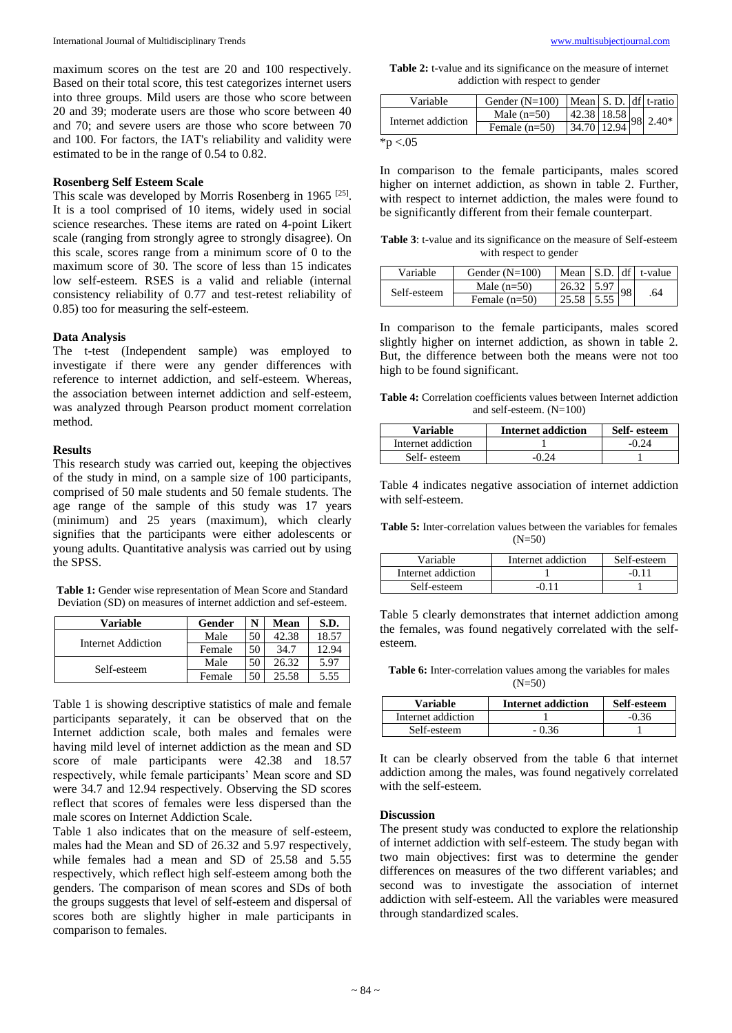maximum scores on the test are 20 and 100 respectively. Based on their total score, this test categorizes internet users into three groups. Mild users are those who score between 20 and 39; moderate users are those who score between 40 and 70; and severe users are those who score between 70 and 100. For factors, the IAT's reliability and validity were estimated to be in the range of 0.54 to 0.82.

#### **Rosenberg Self Esteem Scale**

This scale was developed by Morris Rosenberg in 1965  $^{[25]}$ . It is a tool comprised of 10 items, widely used in social science researches. These items are rated on 4-point Likert scale (ranging from strongly agree to strongly disagree). On this scale, scores range from a minimum score of 0 to the maximum score of 30. The score of less than 15 indicates low self-esteem. RSES is a valid and reliable (internal consistency reliability of 0.77 and test-retest reliability of 0.85) too for measuring the self-esteem.

#### **Data Analysis**

The t-test (Independent sample) was employed to investigate if there were any gender differences with reference to internet addiction, and self-esteem. Whereas, the association between internet addiction and self-esteem, was analyzed through Pearson product moment correlation method.

#### **Results**

This research study was carried out, keeping the objectives of the study in mind, on a sample size of 100 participants, comprised of 50 male students and 50 female students. The age range of the sample of this study was 17 years (minimum) and 25 years (maximum), which clearly signifies that the participants were either adolescents or young adults. Quantitative analysis was carried out by using the SPSS.

**Table 1:** Gender wise representation of Mean Score and Standard Deviation (SD) on measures of internet addiction and sef-esteem.

| Variable           | Gender | N  | Mean  | S.D.  |
|--------------------|--------|----|-------|-------|
| Internet Addiction | Male   | 50 | 42.38 | 18.57 |
|                    | Female | 50 | 34.7  | 12.94 |
| Self-esteem        | Male   | 50 | 26.32 | 5.97  |
|                    | Female | 50 | 25.58 | 5.55  |

Table 1 is showing descriptive statistics of male and female participants separately, it can be observed that on the Internet addiction scale, both males and females were having mild level of internet addiction as the mean and SD score of male participants were 42.38 and 18.57 respectively, while female participants' Mean score and SD were 34.7 and 12.94 respectively. Observing the SD scores reflect that scores of females were less dispersed than the male scores on Internet Addiction Scale.

Table 1 also indicates that on the measure of self-esteem, males had the Mean and SD of 26.32 and 5.97 respectively, while females had a mean and SD of 25.58 and 5.55 respectively, which reflect high self-esteem among both the genders. The comparison of mean scores and SDs of both the groups suggests that level of self-esteem and dispersal of scores both are slightly higher in male participants in comparison to females.

**Table 2:** t-value and its significance on the measure of internet addiction with respect to gender

| Variable           | Gender $(N=100)$ |               |  | Mean S. D. df t-ratio   |
|--------------------|------------------|---------------|--|-------------------------|
| Internet addiction | Male $(n=50)$    |               |  | $142.38$ 18.58 98 2.40* |
|                    | Female $(n=50)$  | $34.70$ 12.94 |  |                         |
| * $p < 0.05$       |                  |               |  |                         |

In comparison to the female participants, males scored higher on internet addiction, as shown in table 2. Further, with respect to internet addiction, the males were found to be significantly different from their female counterpart.

**Table 3**: t-value and its significance on the measure of Self-esteem with respect to gender

| Variable    | Gender $(N=100)$ |              |    | Mean $\vert$ S.D. $\vert$ df $\vert$ t-value |
|-------------|------------------|--------------|----|----------------------------------------------|
| Self-esteem | Male $(n=50)$    | $26.32$ 5.97 | 98 | .64                                          |
|             | Female $(n=50)$  | 25.58        |    |                                              |

In comparison to the female participants, males scored slightly higher on internet addiction, as shown in table 2. But, the difference between both the means were not too high to be found significant.

**Table 4:** Correlation coefficients values between Internet addiction and self-esteem. (N=100)

| <b>Variable</b>    | <b>Internet addiction</b> | Self-esteem |
|--------------------|---------------------------|-------------|
| Internet addiction |                           | -0.24       |
| Self-esteem        |                           |             |

Table 4 indicates negative association of internet addiction with self-esteem.

**Table 5:** Inter-correlation values between the variables for females  $(N=50)$ 

| Variable           | Internet addiction | Self-esteem |
|--------------------|--------------------|-------------|
| Internet addiction |                    |             |
| Self-esteem        |                    |             |

Table 5 clearly demonstrates that internet addiction among the females, was found negatively correlated with the selfesteem.

**Table 6:** Inter-correlation values among the variables for males  $(N=50)$ 

| <b>Variable</b>    | <b>Internet addiction</b> | Self-esteem |
|--------------------|---------------------------|-------------|
| Internet addiction |                           | $-0.36$     |
| Self-esteem        | . Ი ᲕᲜ                    |             |

It can be clearly observed from the table 6 that internet addiction among the males, was found negatively correlated with the self-esteem.

## **Discussion**

The present study was conducted to explore the relationship of internet addiction with self-esteem. The study began with two main objectives: first was to determine the gender differences on measures of the two different variables; and second was to investigate the association of internet addiction with self-esteem. All the variables were measured through standardized scales.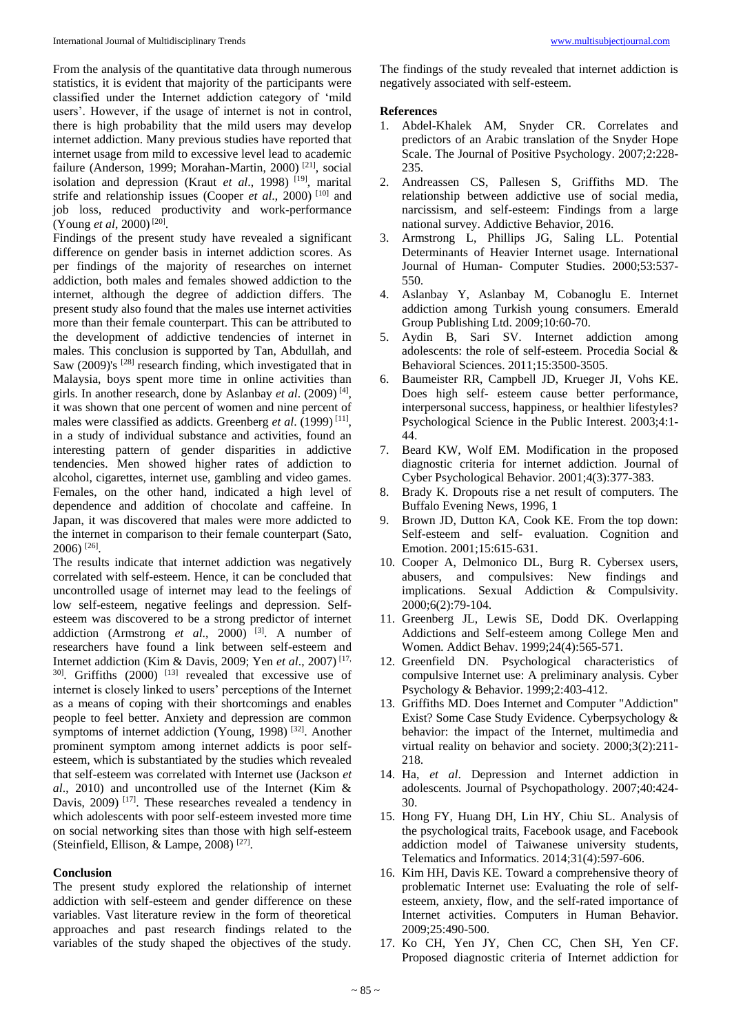From the analysis of the quantitative data through numerous statistics, it is evident that majority of the participants were classified under the Internet addiction category of 'mild users'. However, if the usage of internet is not in control, there is high probability that the mild users may develop internet addiction. Many previous studies have reported that internet usage from mild to excessive level lead to academic failure (Anderson, 1999; Morahan-Martin, 2000)<sup>[21]</sup>, social isolation and depression (Kraut *et al.*, 1998)<sup>[19]</sup>, marital strife and relationship issues (Cooper *et al.*, 2000)<sup>[10]</sup> and job loss, reduced productivity and work-performance (Young *et al*, 2000)<sup>[20]</sup>.

Findings of the present study have revealed a significant difference on gender basis in internet addiction scores. As per findings of the majority of researches on internet addiction, both males and females showed addiction to the internet, although the degree of addiction differs. The present study also found that the males use internet activities more than their female counterpart. This can be attributed to the development of addictive tendencies of internet in males. This conclusion is supported by Tan, Abdullah, and Saw (2009)'s <sup>[28]</sup> research finding, which investigated that in Malaysia, boys spent more time in online activities than girls. In another research, done by Aslanbay *et al*. (2009) [4] , it was shown that one percent of women and nine percent of males were classified as addicts. Greenberg *et al.* (1999)<sup>[11]</sup>, in a study of individual substance and activities, found an interesting pattern of gender disparities in addictive tendencies. Men showed higher rates of addiction to alcohol, cigarettes, internet use, gambling and video games. Females, on the other hand, indicated a high level of dependence and addition of chocolate and caffeine. In Japan, it was discovered that males were more addicted to the internet in comparison to their female counterpart (Sato, 2006) [26] .

The results indicate that internet addiction was negatively correlated with self-esteem. Hence, it can be concluded that uncontrolled usage of internet may lead to the feelings of low self-esteem, negative feelings and depression. Selfesteem was discovered to be a strong predictor of internet addiction (Armstrong *et al.*, 2000)<sup>[3]</sup>. A number of researchers have found a link between self-esteem and Internet addiction (Kim & Davis, 2009; Yen *et al*., 2007) [17,  $30$ . Griffiths (2000)  $[13]$  revealed that excessive use of internet is closely linked to users' perceptions of the Internet as a means of coping with their shortcomings and enables people to feel better. Anxiety and depression are common symptoms of internet addiction (Young, 1998)<sup>[32]</sup>. Another prominent symptom among internet addicts is poor selfesteem, which is substantiated by the studies which revealed that self-esteem was correlated with Internet use (Jackson *et al*., 2010) and uncontrolled use of the Internet (Kim & Davis, 2009)<sup>[17]</sup>. These researches revealed a tendency in which adolescents with poor self-esteem invested more time on social networking sites than those with high self-esteem (Steinfield, Ellison, & Lampe, 2008)<sup>[27]</sup>.

### **Conclusion**

The present study explored the relationship of internet addiction with self-esteem and gender difference on these variables. Vast literature review in the form of theoretical approaches and past research findings related to the variables of the study shaped the objectives of the study.

The findings of the study revealed that internet addiction is negatively associated with self-esteem.

#### **References**

- 1. Abdel-Khalek AM, Snyder CR. Correlates and predictors of an Arabic translation of the Snyder Hope Scale. The Journal of Positive Psychology. 2007;2:228- 235.
- 2. Andreassen CS, Pallesen S, Griffiths MD. The relationship between addictive use of social media, narcissism, and self-esteem: Findings from a large national survey. Addictive Behavior, 2016.
- 3. Armstrong L, Phillips JG, Saling LL. Potential Determinants of Heavier Internet usage. International Journal of Human- Computer Studies. 2000;53:537- 550.
- 4. Aslanbay Y, Aslanbay M, Cobanoglu E. Internet addiction among Turkish young consumers. Emerald Group Publishing Ltd. 2009;10:60-70.
- 5. Aydin B, Sari SV. Internet addiction among adolescents: the role of self-esteem. Procedia Social & Behavioral Sciences. 2011;15:3500-3505.
- 6. Baumeister RR, Campbell JD, Krueger JI, Vohs KE. Does high self- esteem cause better performance, interpersonal success, happiness, or healthier lifestyles? Psychological Science in the Public Interest. 2003;4:1- 44.
- 7. Beard KW, Wolf EM. Modification in the proposed diagnostic criteria for internet addiction. Journal of Cyber Psychological Behavior. 2001;4(3):377-383.
- 8. Brady K. Dropouts rise a net result of computers. The Buffalo Evening News, 1996, 1
- 9. Brown JD, Dutton KA, Cook KE. From the top down: Self-esteem and self- evaluation. Cognition and Emotion. 2001;15:615-631.
- 10. Cooper A, Delmonico DL, Burg R. Cybersex users, abusers, and compulsives: New findings and implications. Sexual Addiction & Compulsivity. 2000;6(2):79-104.
- 11. Greenberg JL, Lewis SE, Dodd DK. Overlapping Addictions and Self-esteem among College Men and Women*.* Addict Behav. 1999;24(4):565-571.
- 12. Greenfield DN. Psychological characteristics of compulsive Internet use: A preliminary analysis. Cyber Psychology & Behavior. 1999;2:403-412.
- 13. Griffiths MD. Does Internet and Computer "Addiction" Exist? Some Case Study Evidence. Cyberpsychology & behavior: the impact of the Internet, multimedia and virtual reality on behavior and society. 2000;3(2):211- 218.
- 14. Ha, *et al*. Depression and Internet addiction in adolescents*.* Journal of Psychopathology. 2007;40:424- 30.
- 15. Hong FY, Huang DH, Lin HY, Chiu SL. Analysis of the psychological traits, Facebook usage, and Facebook addiction model of Taiwanese university students*,*  Telematics and Informatics. 2014;31(4):597-606.
- 16. Kim HH, Davis KE. Toward a comprehensive theory of problematic Internet use: Evaluating the role of selfesteem, anxiety, flow, and the self-rated importance of Internet activities. Computers in Human Behavior. 2009;25:490-500.
- 17. Ko CH, Yen JY, Chen CC, Chen SH, Yen CF. Proposed diagnostic criteria of Internet addiction for